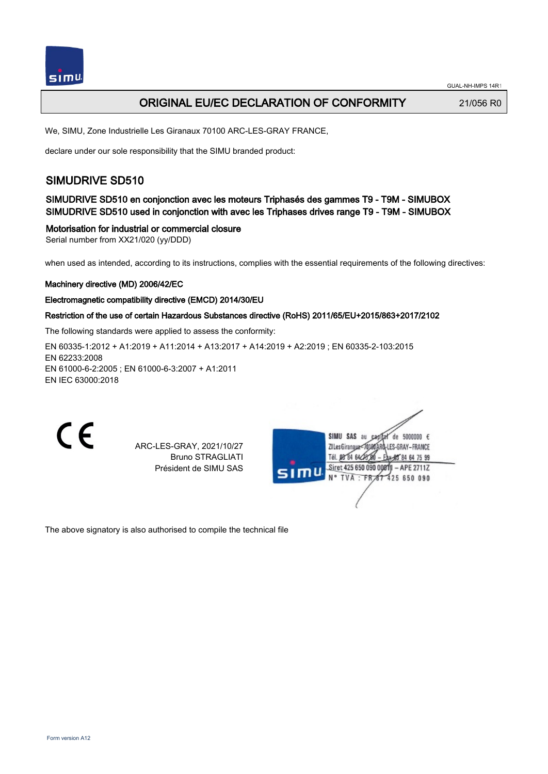

## ORIGINAL EU/EC DECLARATION OF CONFORMITY 21/056 RO

We, SIMU, Zone Industrielle Les Giranaux 70100 ARC-LES-GRAY FRANCE,

declare under our sole responsibility that the SIMU branded product:

## SIMUDRIVE SD510

SIMUDRIVE SD510 en conjonction avec les moteurs Triphasés des gammes T9 - T9M - SIMUBOX SIMUDRIVE SD510 used in conjonction with avec les Triphases drives range T9 - T9M - SIMUBOX

#### Motorisation for industrial or commercial closure

Serial number from XX21/020 (yy/DDD)

when used as intended, according to its instructions, complies with the essential requirements of the following directives:

#### Machinery directive (MD) 2006/42/EC

#### Electromagnetic compatibility directive (EMCD) 2014/30/EU

#### Restriction of the use of certain Hazardous Substances directive (RoHS) 2011/65/EU+2015/863+2017/2102

The following standards were applied to assess the conformity:

EN 60335‑1:2012 + A1:2019 + A11:2014 + A13:2017 + A14:2019 + A2:2019 ; EN 60335‑2‑103:2015 EN 62233:2008 EN 61000‑6‑2:2005 ; EN 61000‑6‑3:2007 + A1:2011 EN IEC 63000:2018



ARC-LES-GRAY, 2021/10/27 Bruno STRAGLIATI Président de SIMU SAS



The above signatory is also authorised to compile the technical file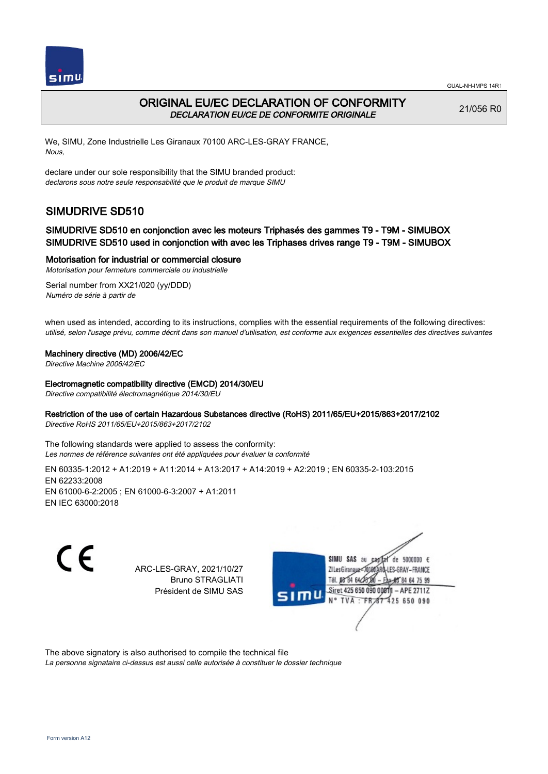

## ORIGINAL EU/EC DECLARATION OF CONFORMITY DECLARATION EU/CE DE CONFORMITE ORIGINALE

21/056 R0

We, SIMU, Zone Industrielle Les Giranaux 70100 ARC-LES-GRAY FRANCE, Nous,

declare under our sole responsibility that the SIMU branded product: declarons sous notre seule responsabilité que le produit de marque SIMU

# SIMUDRIVE SD510

### SIMUDRIVE SD510 en conjonction avec les moteurs Triphasés des gammes T9 - T9M - SIMUBOX SIMUDRIVE SD510 used in conjonction with avec les Triphases drives range T9 - T9M - SIMUBOX

Motorisation for industrial or commercial closure

Motorisation pour fermeture commerciale ou industrielle Serial number from XX21/020 (yy/DDD)

Numéro de série à partir de

when used as intended, according to its instructions, complies with the essential requirements of the following directives: utilisé, selon l'usage prévu, comme décrit dans son manuel d'utilisation, est conforme aux exigences essentielles des directives suivantes

#### Machinery directive (MD) 2006/42/EC

Directive Machine 2006/42/EC

#### Electromagnetic compatibility directive (EMCD) 2014/30/EU

Directive compatibilité électromagnétique 2014/30/EU

#### Restriction of the use of certain Hazardous Substances directive (RoHS) 2011/65/EU+2015/863+2017/2102

Directive RoHS 2011/65/EU+2015/863+2017/2102

The following standards were applied to assess the conformity: Les normes de référence suivantes ont été appliquées pour évaluer la conformité

EN 60335‑1:2012 + A1:2019 + A11:2014 + A13:2017 + A14:2019 + A2:2019 ; EN 60335‑2‑103:2015 EN 62233:2008 EN 61000‑6‑2:2005 ; EN 61000‑6‑3:2007 + A1:2011 EN IEC 63000:2018

C E

ARC-LES-GRAY, 2021/10/27 Bruno STRAGLIATI Président de SIMU SAS



The above signatory is also authorised to compile the technical file

La personne signataire ci-dessus est aussi celle autorisée à constituer le dossier technique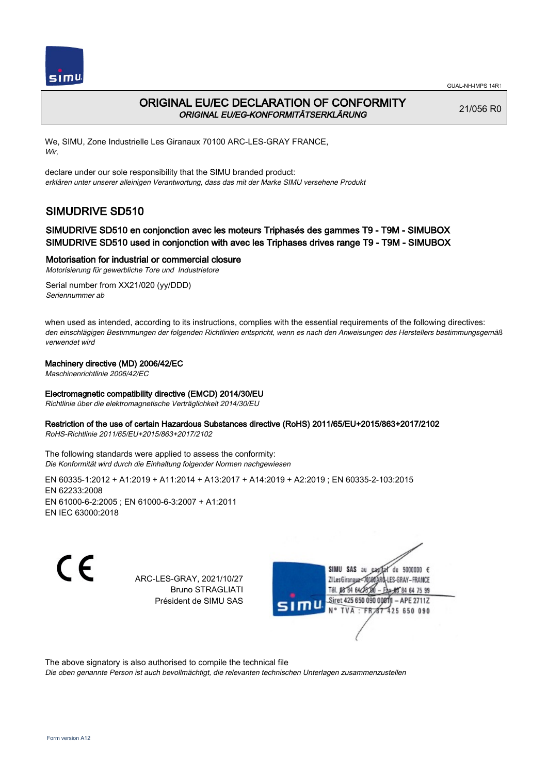

## ORIGINAL EU/EC DECLARATION OF CONFORMITY ORIGINAL EU/EG-KONFORMITÄTSERKLÄRUNG

21/056 R0

We, SIMU, Zone Industrielle Les Giranaux 70100 ARC-LES-GRAY FRANCE, Wir,

declare under our sole responsibility that the SIMU branded product: erklären unter unserer alleinigen Verantwortung, dass das mit der Marke SIMU versehene Produkt

# SIMUDRIVE SD510

### SIMUDRIVE SD510 en conjonction avec les moteurs Triphasés des gammes T9 - T9M - SIMUBOX SIMUDRIVE SD510 used in conjonction with avec les Triphases drives range T9 - T9M - SIMUBOX

Motorisation for industrial or commercial closure

Motorisierung für gewerbliche Tore und Industrietore Serial number from XX21/020 (yy/DDD)

Seriennummer ab

when used as intended, according to its instructions, complies with the essential requirements of the following directives: den einschlägigen Bestimmungen der folgenden Richtlinien entspricht, wenn es nach den Anweisungen des Herstellers bestimmungsgemäß verwendet wird

#### Machinery directive (MD) 2006/42/EC

Maschinenrichtlinie 2006/42/EC

#### Electromagnetic compatibility directive (EMCD) 2014/30/EU

Richtlinie über die elektromagnetische Verträglichkeit 2014/30/EU

#### Restriction of the use of certain Hazardous Substances directive (RoHS) 2011/65/EU+2015/863+2017/2102

RoHS-Richtlinie 2011/65/EU+2015/863+2017/2102

The following standards were applied to assess the conformity: Die Konformität wird durch die Einhaltung folgender Normen nachgewiesen

EN 60335‑1:2012 + A1:2019 + A11:2014 + A13:2017 + A14:2019 + A2:2019 ; EN 60335‑2‑103:2015 EN 62233:2008 EN 61000‑6‑2:2005 ; EN 61000‑6‑3:2007 + A1:2011 EN IEC 63000:2018

C F

ARC-LES-GRAY, 2021/10/27 Bruno STRAGLIATI Président de SIMU SAS

de 5000000 € SIMU SAS **ZILesGirang** ES-GRAY-FRANCE Tél. 08 84 64 2 Siret 425 650 090 00811  $-$  APE 2711Z 425 650 090 **TVA** 

The above signatory is also authorised to compile the technical file

Die oben genannte Person ist auch bevollmächtigt, die relevanten technischen Unterlagen zusammenzustellen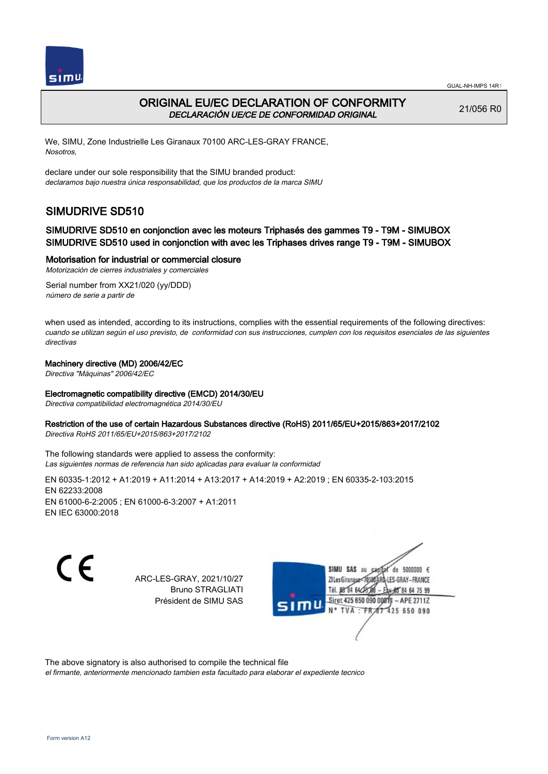



## ORIGINAL EU/EC DECLARATION OF CONFORMITY DECLARACIÓN UE/CE DE CONFORMIDAD ORIGINAL

21/056 R0

We, SIMU, Zone Industrielle Les Giranaux 70100 ARC-LES-GRAY FRANCE, Nosotros,

declare under our sole responsibility that the SIMU branded product: declaramos bajo nuestra única responsabilidad, que los productos de la marca SIMU

# SIMUDRIVE SD510

### SIMUDRIVE SD510 en conjonction avec les moteurs Triphasés des gammes T9 - T9M - SIMUBOX SIMUDRIVE SD510 used in conjonction with avec les Triphases drives range T9 - T9M - SIMUBOX

#### Motorisation for industrial or commercial closure

Motorización de cierres industriales y comerciales

Serial number from XX21/020 (yy/DDD) número de serie a partir de

when used as intended, according to its instructions, complies with the essential requirements of the following directives: cuando se utilizan según el uso previsto, de conformidad con sus instrucciones, cumplen con los requisitos esenciales de las siguientes directivas

#### Machinery directive (MD) 2006/42/EC

Directiva "Máquinas" 2006/42/EC

#### Electromagnetic compatibility directive (EMCD) 2014/30/EU

Directiva compatibilidad electromagnética 2014/30/EU

#### Restriction of the use of certain Hazardous Substances directive (RoHS) 2011/65/EU+2015/863+2017/2102

Directiva RoHS 2011/65/EU+2015/863+2017/2102

The following standards were applied to assess the conformity: Las siguientes normas de referencia han sido aplicadas para evaluar la conformidad

EN 60335‑1:2012 + A1:2019 + A11:2014 + A13:2017 + A14:2019 + A2:2019 ; EN 60335‑2‑103:2015 EN 62233:2008 EN 61000‑6‑2:2005 ; EN 61000‑6‑3:2007 + A1:2011 EN IEC 63000:2018

C F

ARC-LES-GRAY, 2021/10/27 Bruno STRAGLIATI Président de SIMU SAS

de 5000000 € SIMII SAS au **ZILesGirangu** ES-GRAY-FRANCE Tél. 08 84 64 24 Siret 425 650 090 00811  $-$  APE 2711Z TVA : FRAT 425 650 090

The above signatory is also authorised to compile the technical file

el firmante, anteriormente mencionado tambien esta facultado para elaborar el expediente tecnico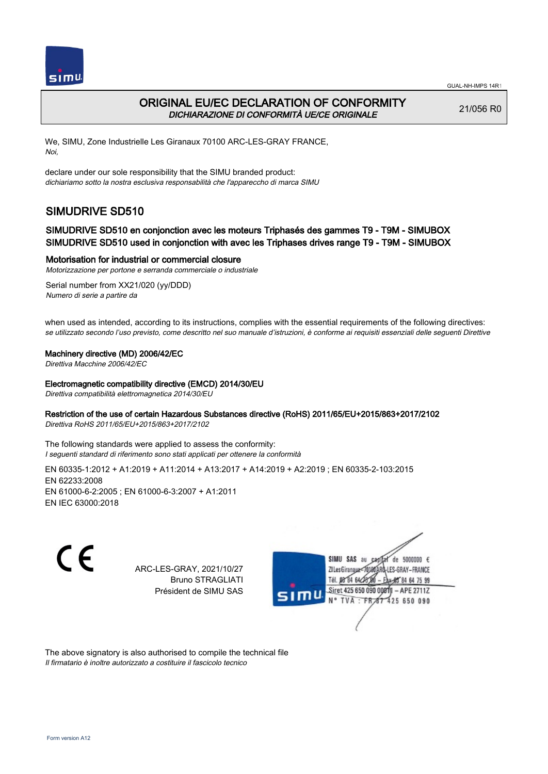

## ORIGINAL EU/EC DECLARATION OF CONFORMITY DICHIARAZIONE DI CONFORMITÀ UE/CE ORIGINALE

21/056 R0

We, SIMU, Zone Industrielle Les Giranaux 70100 ARC-LES-GRAY FRANCE, Noi,

declare under our sole responsibility that the SIMU branded product: dichiariamo sotto la nostra esclusiva responsabilità che l'appareccho di marca SIMU

# SIMUDRIVE SD510

### SIMUDRIVE SD510 en conjonction avec les moteurs Triphasés des gammes T9 - T9M - SIMUBOX SIMUDRIVE SD510 used in conjonction with avec les Triphases drives range T9 - T9M - SIMUBOX

#### Motorisation for industrial or commercial closure

Motorizzazione per portone e serranda commerciale o industriale

Serial number from XX21/020 (yy/DDD) Numero di serie a partire da

when used as intended, according to its instructions, complies with the essential requirements of the following directives: se utilizzato secondo l'uso previsto, come descritto nel suo manuale d'istruzioni, è conforme ai requisiti essenziali delle seguenti Direttive

#### Machinery directive (MD) 2006/42/EC

Direttiva Macchine 2006/42/EC

#### Electromagnetic compatibility directive (EMCD) 2014/30/EU

Direttiva compatibilità elettromagnetica 2014/30/EU

#### Restriction of the use of certain Hazardous Substances directive (RoHS) 2011/65/EU+2015/863+2017/2102

Direttiva RoHS 2011/65/EU+2015/863+2017/2102

The following standards were applied to assess the conformity: I seguenti standard di riferimento sono stati applicati per ottenere la conformità

EN 60335‑1:2012 + A1:2019 + A11:2014 + A13:2017 + A14:2019 + A2:2019 ; EN 60335‑2‑103:2015 EN 62233:2008 EN 61000‑6‑2:2005 ; EN 61000‑6‑3:2007 + A1:2011 EN IEC 63000:2018

C E

ARC-LES-GRAY, 2021/10/27 Bruno STRAGLIATI Président de SIMU SAS



The above signatory is also authorised to compile the technical file Il firmatario è inoltre autorizzato a costituire il fascicolo tecnico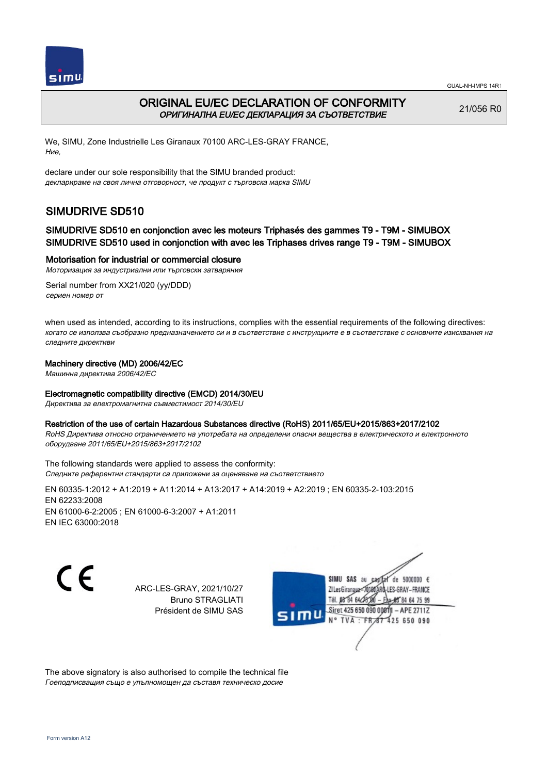



## ORIGINAL EU/EC DECLARATION OF CONFORMITY ОРИГИНАЛНА EU/EC ДЕКЛАРАЦИЯ ЗА СЪОТВЕТСТВИЕ

21/056 R0

We, SIMU, Zone Industrielle Les Giranaux 70100 ARC-LES-GRAY FRANCE, Ние,

declare under our sole responsibility that the SIMU branded product: декларираме на своя лична отговорност, че продукт с търговска марка SIMU

# SIMUDRIVE SD510

### SIMUDRIVE SD510 en conjonction avec les moteurs Triphasés des gammes T9 - T9M - SIMUBOX SIMUDRIVE SD510 used in conjonction with avec les Triphases drives range T9 - T9M - SIMUBOX

#### Motorisation for industrial or commercial closure

Моторизация за индустриални или търговски затваряния

Serial number from XX21/020 (yy/DDD) сериен номер от

when used as intended, according to its instructions, complies with the essential requirements of the following directives: когато се използва съобразно предназначението си и в съответствие с инструкциите е в съответствие с основните изисквания на следните директиви

#### Machinery directive (MD) 2006/42/EC

Машинна директива 2006/42/EC

#### Electromagnetic compatibility directive (EMCD) 2014/30/EU

Директива за електромагнитна съвместимост 2014/30/EU

#### Restriction of the use of certain Hazardous Substances directive (RoHS) 2011/65/EU+2015/863+2017/2102

RoHS Директива относно ограничението на употребата на определени опасни вещества в електрическото и електронното оборудване 2011/65/EU+2015/863+2017/2102

The following standards were applied to assess the conformity: Следните референтни стандарти са приложени за оценяване на съответствието

EN 60335‑1:2012 + A1:2019 + A11:2014 + A13:2017 + A14:2019 + A2:2019 ; EN 60335‑2‑103:2015 EN 62233:2008 EN 61000‑6‑2:2005 ; EN 61000‑6‑3:2007 + A1:2011 EN IEC 63000:2018

C E

ARC-LES-GRAY, 2021/10/27 Bruno STRAGLIATI Président de SIMU SAS



The above signatory is also authorised to compile the technical file Гоеподписващия също е упълномощен да съставя техническо досие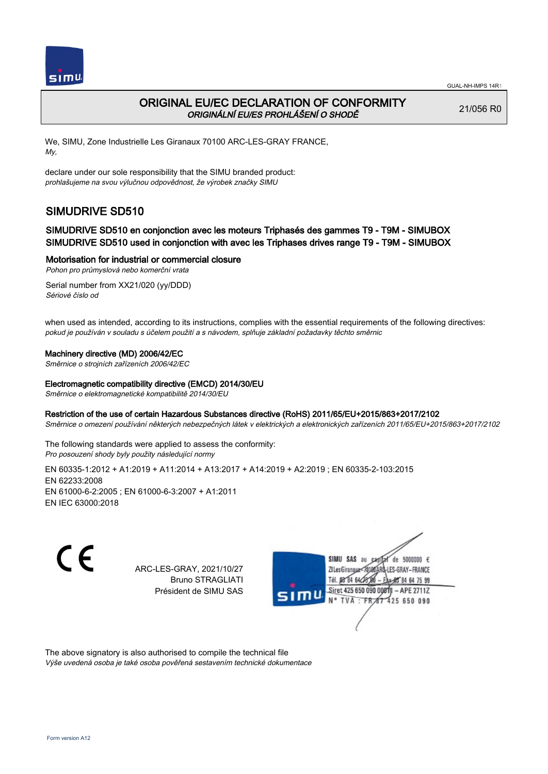

## ORIGINAL EU/EC DECLARATION OF CONFORMITY ORIGINÁLNÍ EU/ES PROHLÁŠENÍ O SHODĚ

21/056 R0

We, SIMU, Zone Industrielle Les Giranaux 70100 ARC-LES-GRAY FRANCE, My,

declare under our sole responsibility that the SIMU branded product: prohlašujeme na svou výlučnou odpovědnost, že výrobek značky SIMU

# SIMUDRIVE SD510

### SIMUDRIVE SD510 en conjonction avec les moteurs Triphasés des gammes T9 - T9M - SIMUBOX SIMUDRIVE SD510 used in conjonction with avec les Triphases drives range T9 - T9M - SIMUBOX

#### Motorisation for industrial or commercial closure

Pohon pro průmyslová nebo komerční vrata

Serial number from XX21/020 (yy/DDD) Sériové číslo od

when used as intended, according to its instructions, complies with the essential requirements of the following directives: pokud je používán v souladu s účelem použití a s návodem, splňuje základní požadavky těchto směrnic

#### Machinery directive (MD) 2006/42/EC

Směrnice o strojních zařízeních 2006/42/EC

#### Electromagnetic compatibility directive (EMCD) 2014/30/EU

Směrnice o elektromagnetické kompatibilitě 2014/30/EU

#### Restriction of the use of certain Hazardous Substances directive (RoHS) 2011/65/EU+2015/863+2017/2102

Směrnice o omezení používání některých nebezpečných látek v elektrických a elektronických zařízeních 2011/65/EU+2015/863+2017/2102

The following standards were applied to assess the conformity: Pro posouzení shody byly použity následující normy

EN 60335‑1:2012 + A1:2019 + A11:2014 + A13:2017 + A14:2019 + A2:2019 ; EN 60335‑2‑103:2015 EN 62233:2008 EN 61000‑6‑2:2005 ; EN 61000‑6‑3:2007 + A1:2011 EN IEC 63000:2018

C E

ARC-LES-GRAY, 2021/10/27 Bruno STRAGLIATI Président de SIMU SAS



The above signatory is also authorised to compile the technical file Výše uvedená osoba je také osoba pověřená sestavením technické dokumentace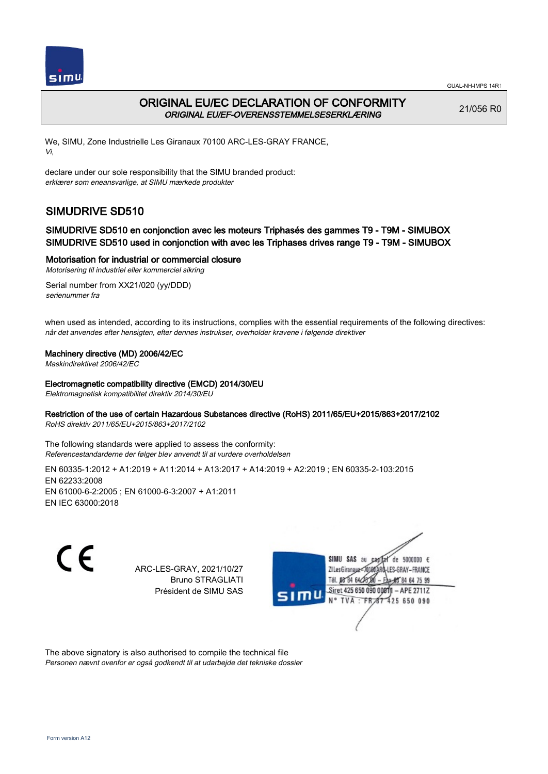



## ORIGINAL EU/EC DECLARATION OF CONFORMITY ORIGINAL EU/EF-OVERENSSTEMMELSESERKLÆRING

21/056 R0

We, SIMU, Zone Industrielle Les Giranaux 70100 ARC-LES-GRAY FRANCE, Vi,

declare under our sole responsibility that the SIMU branded product: erklærer som eneansvarlige, at SIMU mærkede produkter

# SIMUDRIVE SD510

### SIMUDRIVE SD510 en conjonction avec les moteurs Triphasés des gammes T9 - T9M - SIMUBOX SIMUDRIVE SD510 used in conjonction with avec les Triphases drives range T9 - T9M - SIMUBOX

#### Motorisation for industrial or commercial closure

Motorisering til industriel eller kommerciel sikring

Serial number from XX21/020 (yy/DDD) serienummer fra

when used as intended, according to its instructions, complies with the essential requirements of the following directives: når det anvendes efter hensigten, efter dennes instrukser, overholder kravene i følgende direktiver

#### Machinery directive (MD) 2006/42/EC

Maskindirektivet 2006/42/EC

#### Electromagnetic compatibility directive (EMCD) 2014/30/EU

Elektromagnetisk kompatibilitet direktiv 2014/30/EU

#### Restriction of the use of certain Hazardous Substances directive (RoHS) 2011/65/EU+2015/863+2017/2102

RoHS direktiv 2011/65/EU+2015/863+2017/2102

The following standards were applied to assess the conformity: Referencestandarderne der følger blev anvendt til at vurdere overholdelsen

EN 60335‑1:2012 + A1:2019 + A11:2014 + A13:2017 + A14:2019 + A2:2019 ; EN 60335‑2‑103:2015 EN 62233:2008 EN 61000‑6‑2:2005 ; EN 61000‑6‑3:2007 + A1:2011 EN IEC 63000:2018

C E

ARC-LES-GRAY, 2021/10/27 Bruno STRAGLIATI Président de SIMU SAS



The above signatory is also authorised to compile the technical file Personen nævnt ovenfor er også godkendt til at udarbejde det tekniske dossier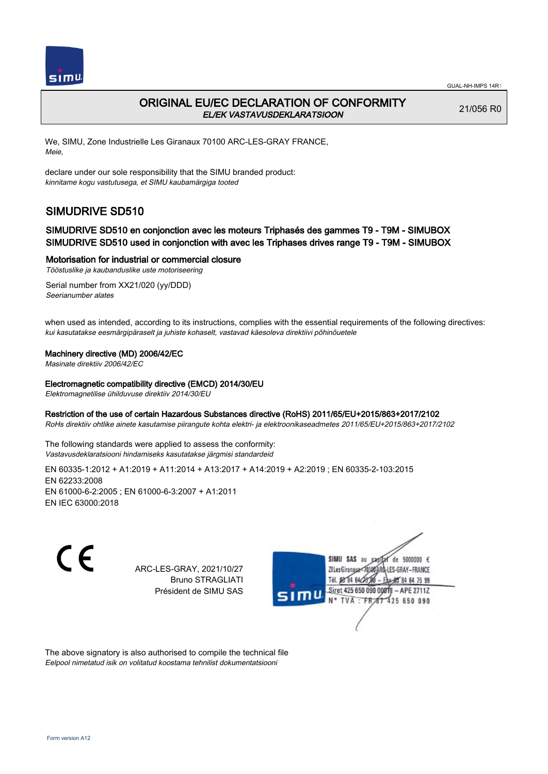

## ORIGINAL EU/EC DECLARATION OF CONFORMITY EL/EK VASTAVUSDEKLARATSIOON

21/056 R0

We, SIMU, Zone Industrielle Les Giranaux 70100 ARC-LES-GRAY FRANCE, Meie,

declare under our sole responsibility that the SIMU branded product: kinnitame kogu vastutusega, et SIMU kaubamärgiga tooted

# SIMUDRIVE SD510

### SIMUDRIVE SD510 en conjonction avec les moteurs Triphasés des gammes T9 - T9M - SIMUBOX SIMUDRIVE SD510 used in conjonction with avec les Triphases drives range T9 - T9M - SIMUBOX

#### Motorisation for industrial or commercial closure

Tööstuslike ja kaubanduslike uste motoriseering

Serial number from XX21/020 (yy/DDD) Seerianumber alates

when used as intended, according to its instructions, complies with the essential requirements of the following directives: kui kasutatakse eesmärgipäraselt ja juhiste kohaselt, vastavad käesoleva direktiivi põhinõuetele

#### Machinery directive (MD) 2006/42/EC

Masinate direktiiv 2006/42/EC

#### Electromagnetic compatibility directive (EMCD) 2014/30/EU

Elektromagnetilise ühilduvuse direktiiv 2014/30/EU

#### Restriction of the use of certain Hazardous Substances directive (RoHS) 2011/65/EU+2015/863+2017/2102

RoHs direktiiv ohtlike ainete kasutamise piirangute kohta elektri- ja elektroonikaseadmetes 2011/65/EU+2015/863+2017/2102

The following standards were applied to assess the conformity: Vastavusdeklaratsiooni hindamiseks kasutatakse järgmisi standardeid

EN 60335‑1:2012 + A1:2019 + A11:2014 + A13:2017 + A14:2019 + A2:2019 ; EN 60335‑2‑103:2015 EN 62233:2008 EN 61000‑6‑2:2005 ; EN 61000‑6‑3:2007 + A1:2011 EN IEC 63000:2018

C E

ARC-LES-GRAY, 2021/10/27 Bruno STRAGLIATI Président de SIMU SAS



The above signatory is also authorised to compile the technical file Eelpool nimetatud isik on volitatud koostama tehnilist dokumentatsiooni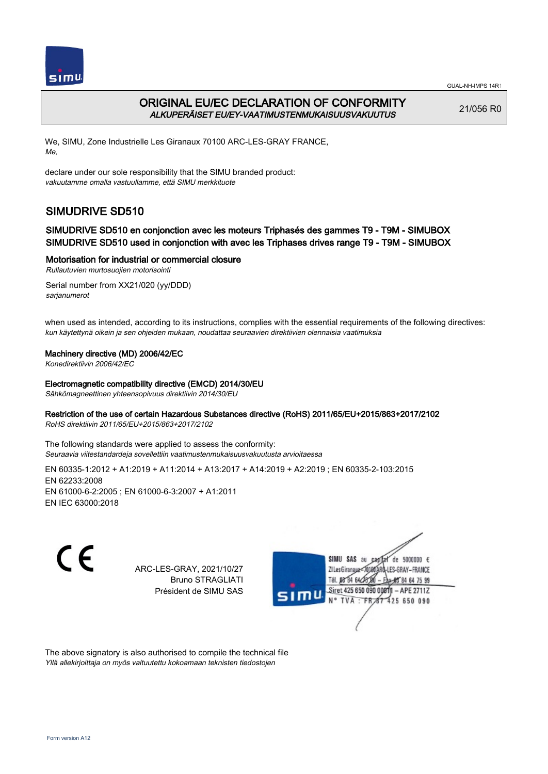

## ORIGINAL EU/EC DECLARATION OF CONFORMITY ALKUPERÄISET EU/EY-VAATIMUSTENMUKAISUUSVAKUUTUS

21/056 R0

We, SIMU, Zone Industrielle Les Giranaux 70100 ARC-LES-GRAY FRANCE, Me,

declare under our sole responsibility that the SIMU branded product: vakuutamme omalla vastuullamme, että SIMU merkkituote

# SIMUDRIVE SD510

### SIMUDRIVE SD510 en conjonction avec les moteurs Triphasés des gammes T9 - T9M - SIMUBOX SIMUDRIVE SD510 used in conjonction with avec les Triphases drives range T9 - T9M - SIMUBOX

#### Motorisation for industrial or commercial closure

Rullautuvien murtosuojien motorisointi

Serial number from XX21/020 (yy/DDD) sarjanumerot

when used as intended, according to its instructions, complies with the essential requirements of the following directives: kun käytettynä oikein ja sen ohjeiden mukaan, noudattaa seuraavien direktiivien olennaisia vaatimuksia

#### Machinery directive (MD) 2006/42/EC

Konedirektiivin 2006/42/EC

Electromagnetic compatibility directive (EMCD) 2014/30/EU

Sähkömagneettinen yhteensopivuus direktiivin 2014/30/EU

#### Restriction of the use of certain Hazardous Substances directive (RoHS) 2011/65/EU+2015/863+2017/2102

RoHS direktiivin 2011/65/EU+2015/863+2017/2102

The following standards were applied to assess the conformity: Seuraavia viitestandardeja sovellettiin vaatimustenmukaisuusvakuutusta arvioitaessa

EN 60335‑1:2012 + A1:2019 + A11:2014 + A13:2017 + A14:2019 + A2:2019 ; EN 60335‑2‑103:2015 EN 62233:2008 EN 61000‑6‑2:2005 ; EN 61000‑6‑3:2007 + A1:2011 EN IEC 63000:2018

CE

ARC-LES-GRAY, 2021/10/27 Bruno STRAGLIATI Président de SIMU SAS



The above signatory is also authorised to compile the technical file Yllä allekirjoittaja on myös valtuutettu kokoamaan teknisten tiedostojen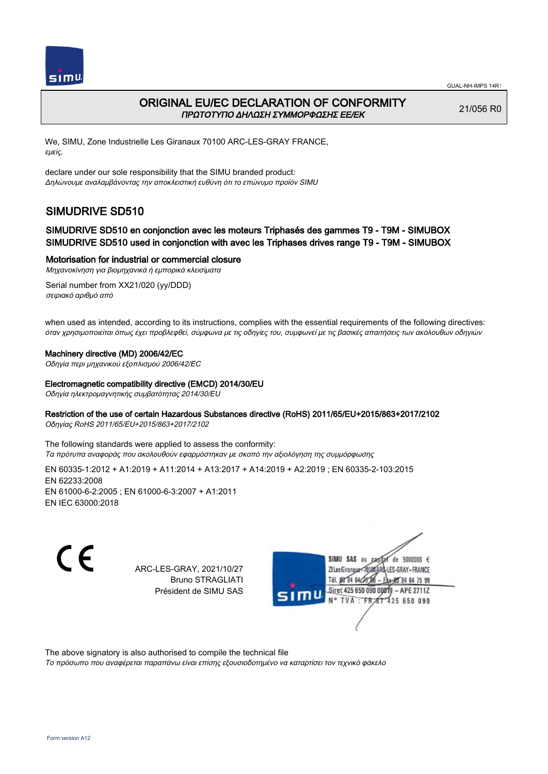

## ORIGINAL EU/EC DECLARATION OF CONFORMITY ΠΡΩΤΟΤΥΠΟ ΔΗΛΩΣΗ ΣΥΜΜΟΡΦΩΣΗΣ ΕΕ/EK

21/056 R0

We, SIMU, Zone Industrielle Les Giranaux 70100 ARC-LES-GRAY FRANCE, εμείς,

declare under our sole responsibility that the SIMU branded product: Δηλώνουμε αναλαμβάνοντας την αποκλειστική ευθύνη ότι το επώνυμο προϊόν SIMU

# SIMUDRIVE SD510

### SIMUDRIVE SD510 en conjonction avec les moteurs Triphasés des gammes T9 - T9M - SIMUBOX SIMUDRIVE SD510 used in conjonction with avec les Triphases drives range T9 - T9M - SIMUBOX

Motorisation for industrial or commercial closure

Μηχανοκίνηση για βιομηχανικά ή εμπορικά κλεισίματα Serial number from XX21/020 (yy/DDD)

σειριακό αριθμό από

when used as intended, according to its instructions, complies with the essential requirements of the following directives: όταν χρησιμοποιείται όπως έχει προβλεφθεί, σύμφωνα με τις οδηγίες του, συμφωνεί με τις βασικές απαιτήσεις των ακόλουθων οδηγιών

#### Machinery directive (MD) 2006/42/EC

Οδηγία περι μηχανικού εξοπλισμού 2006/42/EC

#### Electromagnetic compatibility directive (EMCD) 2014/30/EU

Οδηγία ηλεκτρομαγνητικής συμβατότητας 2014/30/EU

#### Restriction of the use of certain Hazardous Substances directive (RoHS) 2011/65/EU+2015/863+2017/2102

Οδηγίας RoHS 2011/65/EU+2015/863+2017/2102

The following standards were applied to assess the conformity: Τα πρότυπα αναφοράς που ακολουθούν εφαρμόστηκαν με σκοπό την αξιολόγηση της συμμόρφωσης

EN 60335‑1:2012 + A1:2019 + A11:2014 + A13:2017 + A14:2019 + A2:2019 ; EN 60335‑2‑103:2015 EN 62233:2008 EN 61000‑6‑2:2005 ; EN 61000‑6‑3:2007 + A1:2011 EN IEC 63000:2018

C F

ARC-LES-GRAY, 2021/10/27 Bruno STRAGLIATI Président de SIMU SAS



The above signatory is also authorised to compile the technical file

Το πρόσωπο που αναφέρεται παραπάνω είναι επίσης εξουσιοδοτημένο να καταρτίσει τον τεχνικό φάκελο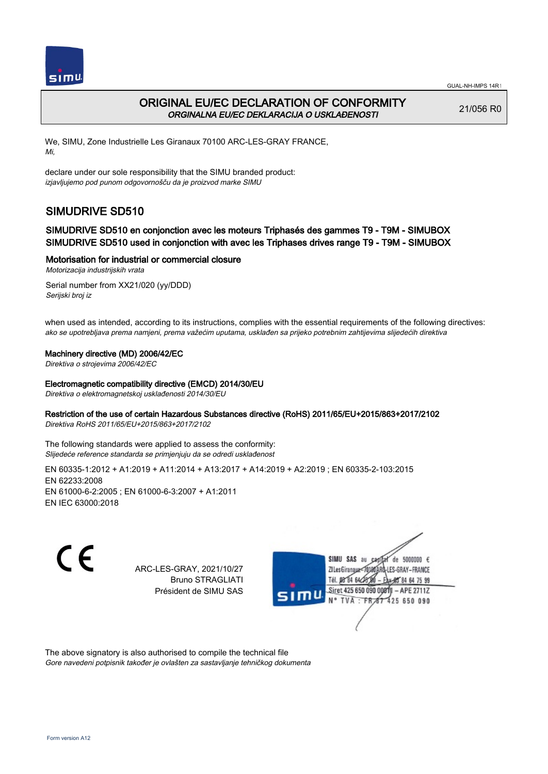

## ORIGINAL EU/EC DECLARATION OF CONFORMITY ORGINALNA EU/EC DEKLARACIJA O USKLAĐENOSTI

21/056 R0

We, SIMU, Zone Industrielle Les Giranaux 70100 ARC-LES-GRAY FRANCE, Mi,

declare under our sole responsibility that the SIMU branded product: izjavljujemo pod punom odgovornošču da je proizvod marke SIMU

# SIMUDRIVE SD510

### SIMUDRIVE SD510 en conjonction avec les moteurs Triphasés des gammes T9 - T9M - SIMUBOX SIMUDRIVE SD510 used in conjonction with avec les Triphases drives range T9 - T9M - SIMUBOX

#### Motorisation for industrial or commercial closure

Motorizacija industrijskih vrata

Serial number from XX21/020 (yy/DDD) Serijski broj iz

when used as intended, according to its instructions, complies with the essential requirements of the following directives: ako se upotrebljava prema namjeni, prema važećim uputama, usklađen sa prijeko potrebnim zahtijevima slijedećih direktiva

#### Machinery directive (MD) 2006/42/EC

Direktiva o strojevima 2006/42/EC

#### Electromagnetic compatibility directive (EMCD) 2014/30/EU

Direktiva o elektromagnetskoj usklađenosti 2014/30/EU

#### Restriction of the use of certain Hazardous Substances directive (RoHS) 2011/65/EU+2015/863+2017/2102

Direktiva RoHS 2011/65/EU+2015/863+2017/2102

The following standards were applied to assess the conformity: Slijedeće reference standarda se primjenjuju da se odredi usklađenost

EN 60335‑1:2012 + A1:2019 + A11:2014 + A13:2017 + A14:2019 + A2:2019 ; EN 60335‑2‑103:2015 EN 62233:2008 EN 61000‑6‑2:2005 ; EN 61000‑6‑3:2007 + A1:2011 EN IEC 63000:2018

C E

ARC-LES-GRAY, 2021/10/27 Bruno STRAGLIATI Président de SIMU SAS



The above signatory is also authorised to compile the technical file Gore navedeni potpisnik također je ovlašten za sastavljanje tehničkog dokumenta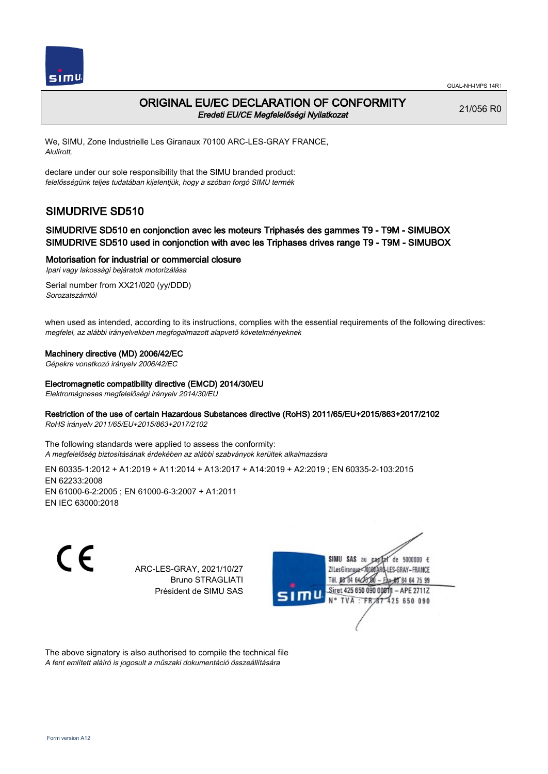

## ORIGINAL EU/EC DECLARATION OF CONFORMITY Eredeti EU/CE Megfelelőségi Nyilatkozat

21/056 R0

We, SIMU, Zone Industrielle Les Giranaux 70100 ARC-LES-GRAY FRANCE, Alulírott,

declare under our sole responsibility that the SIMU branded product: felelősségünk teljes tudatában kijelentjük, hogy a szóban forgó SIMU termék

# SIMUDRIVE SD510

### SIMUDRIVE SD510 en conjonction avec les moteurs Triphasés des gammes T9 - T9M - SIMUBOX SIMUDRIVE SD510 used in conjonction with avec les Triphases drives range T9 - T9M - SIMUBOX

#### Motorisation for industrial or commercial closure

Ipari vagy lakossági bejáratok motorizálása

Serial number from XX21/020 (yy/DDD) Sorozatszámtól

when used as intended, according to its instructions, complies with the essential requirements of the following directives: megfelel, az alábbi irányelvekben megfogalmazott alapvető követelményeknek

#### Machinery directive (MD) 2006/42/EC

Gépekre vonatkozó irányelv 2006/42/EC

Electromagnetic compatibility directive (EMCD) 2014/30/EU

Elektromágneses megfelelőségi irányelv 2014/30/EU

#### Restriction of the use of certain Hazardous Substances directive (RoHS) 2011/65/EU+2015/863+2017/2102

RoHS irányelv 2011/65/EU+2015/863+2017/2102

The following standards were applied to assess the conformity: A megfelelőség biztosításának érdekében az alábbi szabványok kerültek alkalmazásra

EN 60335‑1:2012 + A1:2019 + A11:2014 + A13:2017 + A14:2019 + A2:2019 ; EN 60335‑2‑103:2015 EN 62233:2008 EN 61000‑6‑2:2005 ; EN 61000‑6‑3:2007 + A1:2011 EN IEC 63000:2018

C E

ARC-LES-GRAY, 2021/10/27 Bruno STRAGLIATI Président de SIMU SAS



The above signatory is also authorised to compile the technical file A fent említett aláíró is jogosult a műszaki dokumentáció összeállítására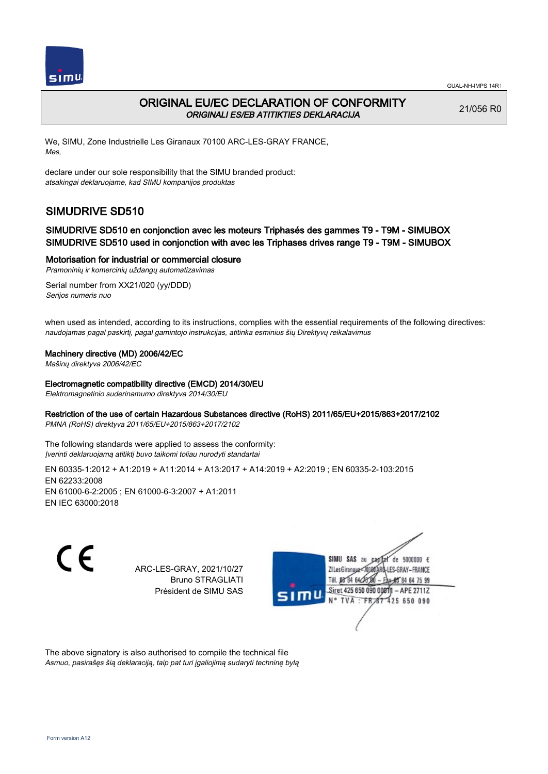

## ORIGINAL EU/EC DECLARATION OF CONFORMITY ORIGINALI ES/EB ATITIKTIES DEKLARACIJA

21/056 R0

We, SIMU, Zone Industrielle Les Giranaux 70100 ARC-LES-GRAY FRANCE, Mes,

declare under our sole responsibility that the SIMU branded product: atsakingai deklaruojame, kad SIMU kompanijos produktas

# SIMUDRIVE SD510

### SIMUDRIVE SD510 en conjonction avec les moteurs Triphasés des gammes T9 - T9M - SIMUBOX SIMUDRIVE SD510 used in conjonction with avec les Triphases drives range T9 - T9M - SIMUBOX

#### Motorisation for industrial or commercial closure

Pramoninių ir komercinių uždangų automatizavimas

Serial number from XX21/020 (yy/DDD) Serijos numeris nuo

when used as intended, according to its instructions, complies with the essential requirements of the following directives: naudojamas pagal paskirtį, pagal gamintojo instrukcijas, atitinka esminius šių Direktyvų reikalavimus

#### Machinery directive (MD) 2006/42/EC

Mašinų direktyva 2006/42/EC

#### Electromagnetic compatibility directive (EMCD) 2014/30/EU

Elektromagnetinio suderinamumo direktyva 2014/30/EU

#### Restriction of the use of certain Hazardous Substances directive (RoHS) 2011/65/EU+2015/863+2017/2102

PMNA (RoHS) direktyva 2011/65/EU+2015/863+2017/2102

The following standards were applied to assess the conformity: Įverinti deklaruojamą atitiktį buvo taikomi toliau nurodyti standartai

EN 60335‑1:2012 + A1:2019 + A11:2014 + A13:2017 + A14:2019 + A2:2019 ; EN 60335‑2‑103:2015 EN 62233:2008 EN 61000‑6‑2:2005 ; EN 61000‑6‑3:2007 + A1:2011 EN IEC 63000:2018

C E

ARC-LES-GRAY, 2021/10/27 Bruno STRAGLIATI Président de SIMU SAS



The above signatory is also authorised to compile the technical file Asmuo, pasirašęs šią deklaraciją, taip pat turi įgaliojimą sudaryti techninę bylą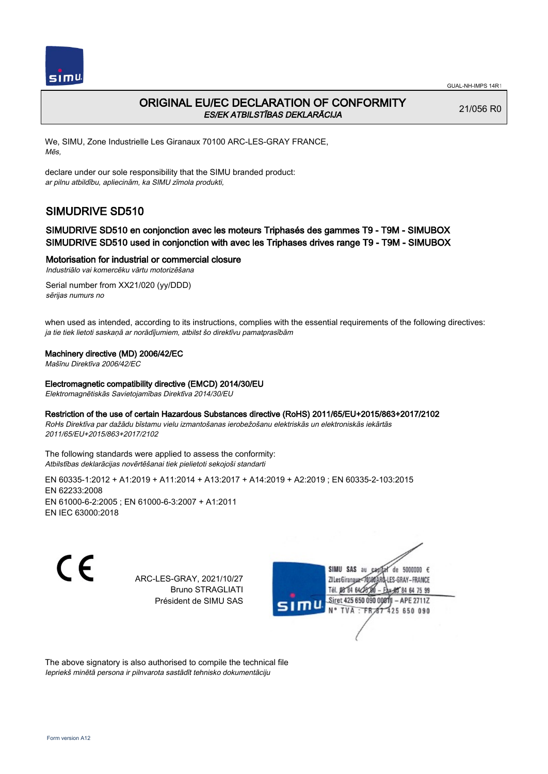

## ORIGINAL EU/EC DECLARATION OF CONFORMITY ES/EK ATBILSTĪBAS DEKLARĀCIJA

21/056 R0

We, SIMU, Zone Industrielle Les Giranaux 70100 ARC-LES-GRAY FRANCE, Mēs,

declare under our sole responsibility that the SIMU branded product: ar pilnu atbildību, apliecinām, ka SIMU zīmola produkti,

# SIMUDRIVE SD510

### SIMUDRIVE SD510 en conjonction avec les moteurs Triphasés des gammes T9 - T9M - SIMUBOX SIMUDRIVE SD510 used in conjonction with avec les Triphases drives range T9 - T9M - SIMUBOX

#### Motorisation for industrial or commercial closure

Industriālo vai komercēku vārtu motorizēšana

Serial number from XX21/020 (yy/DDD) sērijas numurs no

when used as intended, according to its instructions, complies with the essential requirements of the following directives: ja tie tiek lietoti saskaņā ar norādījumiem, atbilst šo direktīvu pamatprasībām

#### Machinery directive (MD) 2006/42/EC

Mašīnu Direktīva 2006/42/EC

#### Electromagnetic compatibility directive (EMCD) 2014/30/EU

Elektromagnētiskās Savietojamības Direktīva 2014/30/EU

## Restriction of the use of certain Hazardous Substances directive (RoHS) 2011/65/EU+2015/863+2017/2102

RoHs Direktīva par dažādu bīstamu vielu izmantošanas ierobežošanu elektriskās un elektroniskās iekārtās 2011/65/EU+2015/863+2017/2102

The following standards were applied to assess the conformity: Atbilstības deklarācijas novērtēšanai tiek pielietoti sekojoši standarti

EN 60335‑1:2012 + A1:2019 + A11:2014 + A13:2017 + A14:2019 + A2:2019 ; EN 60335‑2‑103:2015 EN 62233:2008 EN 61000‑6‑2:2005 ; EN 61000‑6‑3:2007 + A1:2011 EN IEC 63000:2018

 $\epsilon$ 

ARC-LES-GRAY, 2021/10/27 Bruno STRAGLIATI Président de SIMU SAS



The above signatory is also authorised to compile the technical file Iepriekš minētā persona ir pilnvarota sastādīt tehnisko dokumentāciju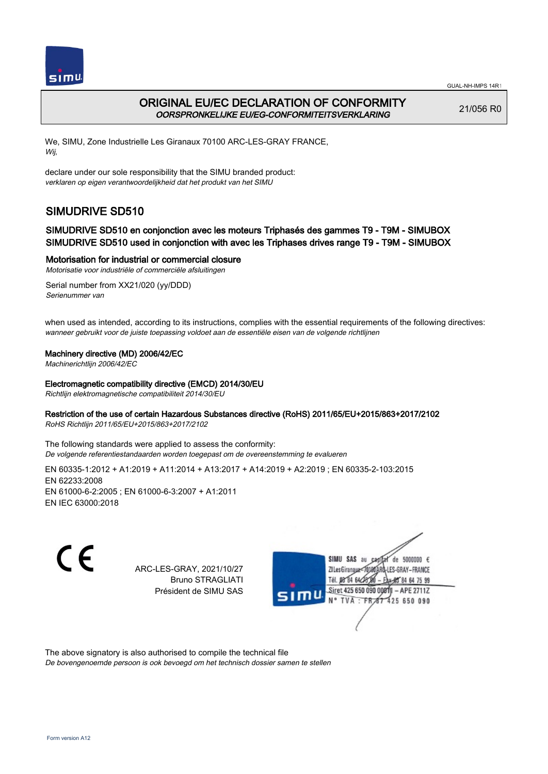

## ORIGINAL EU/EC DECLARATION OF CONFORMITY OORSPRONKELIJKE EU/EG-CONFORMITEITSVERKLARING

21/056 R0

We, SIMU, Zone Industrielle Les Giranaux 70100 ARC-LES-GRAY FRANCE, Wij,

declare under our sole responsibility that the SIMU branded product: verklaren op eigen verantwoordelijkheid dat het produkt van het SIMU

# SIMUDRIVE SD510

### SIMUDRIVE SD510 en conjonction avec les moteurs Triphasés des gammes T9 - T9M - SIMUBOX SIMUDRIVE SD510 used in conjonction with avec les Triphases drives range T9 - T9M - SIMUBOX

Motorisation for industrial or commercial closure

Motorisatie voor industriële of commerciële afsluitingen

Serial number from XX21/020 (yy/DDD) Serienummer van

when used as intended, according to its instructions, complies with the essential requirements of the following directives: wanneer gebruikt voor de juiste toepassing voldoet aan de essentiële eisen van de volgende richtlijnen

#### Machinery directive (MD) 2006/42/EC

Machinerichtlijn 2006/42/EC

#### Electromagnetic compatibility directive (EMCD) 2014/30/EU

Richtlijn elektromagnetische compatibiliteit 2014/30/EU

#### Restriction of the use of certain Hazardous Substances directive (RoHS) 2011/65/EU+2015/863+2017/2102

RoHS Richtlijn 2011/65/EU+2015/863+2017/2102

The following standards were applied to assess the conformity: De volgende referentiestandaarden worden toegepast om de overeenstemming te evalueren

EN 60335‑1:2012 + A1:2019 + A11:2014 + A13:2017 + A14:2019 + A2:2019 ; EN 60335‑2‑103:2015 EN 62233:2008 EN 61000‑6‑2:2005 ; EN 61000‑6‑3:2007 + A1:2011 EN IEC 63000:2018

C E

ARC-LES-GRAY, 2021/10/27 Bruno STRAGLIATI Président de SIMU SAS



The above signatory is also authorised to compile the technical file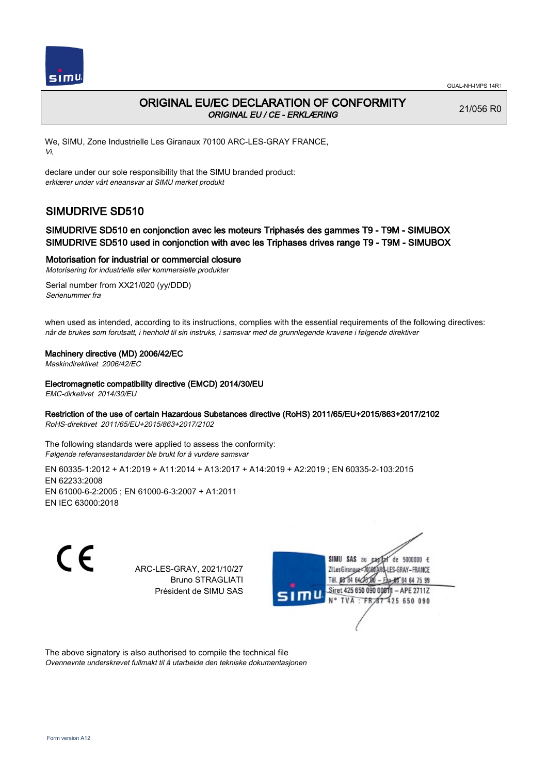

## ORIGINAL EU/EC DECLARATION OF CONFORMITY ORIGINAL EU / CE - ERKLÆRING

21/056 R0

We, SIMU, Zone Industrielle Les Giranaux 70100 ARC-LES-GRAY FRANCE, Vi,

declare under our sole responsibility that the SIMU branded product: erklærer under vårt eneansvar at SIMU merket produkt

# SIMUDRIVE SD510

### SIMUDRIVE SD510 en conjonction avec les moteurs Triphasés des gammes T9 - T9M - SIMUBOX SIMUDRIVE SD510 used in conjonction with avec les Triphases drives range T9 - T9M - SIMUBOX

Motorisation for industrial or commercial closure

Motorisering for industrielle eller kommersielle produkter

Serial number from XX21/020 (yy/DDD) Serienummer fra

when used as intended, according to its instructions, complies with the essential requirements of the following directives: når de brukes som forutsatt, i henhold til sin instruks, i samsvar med de grunnlegende kravene i følgende direktiver

#### Machinery directive (MD) 2006/42/EC

Maskindirektivet 2006/42/EC

Electromagnetic compatibility directive (EMCD) 2014/30/EU

EMC-dirketivet 2014/30/EU

#### Restriction of the use of certain Hazardous Substances directive (RoHS) 2011/65/EU+2015/863+2017/2102

RoHS-direktivet 2011/65/EU+2015/863+2017/2102

The following standards were applied to assess the conformity: Følgende referansestandarder ble brukt for å vurdere samsvar

EN 60335‑1:2012 + A1:2019 + A11:2014 + A13:2017 + A14:2019 + A2:2019 ; EN 60335‑2‑103:2015 EN 62233:2008 EN 61000‑6‑2:2005 ; EN 61000‑6‑3:2007 + A1:2011 EN IEC 63000:2018

C E

ARC-LES-GRAY, 2021/10/27 Bruno STRAGLIATI Président de SIMU SAS



The above signatory is also authorised to compile the technical file Ovennevnte underskrevet fullmakt til å utarbeide den tekniske dokumentasjonen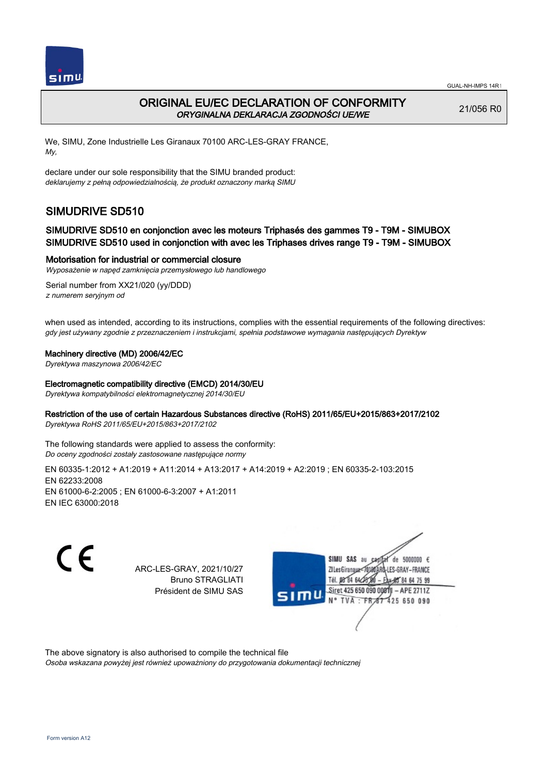

## ORIGINAL EU/EC DECLARATION OF CONFORMITY ORYGINALNA DEKLARACJA ZGODNOŚCI UE/WE

21/056 R0

We, SIMU, Zone Industrielle Les Giranaux 70100 ARC-LES-GRAY FRANCE, My,

declare under our sole responsibility that the SIMU branded product: deklarujemy z pełną odpowiedzialnością, że produkt oznaczony marką SIMU

# SIMUDRIVE SD510

### SIMUDRIVE SD510 en conjonction avec les moteurs Triphasés des gammes T9 - T9M - SIMUBOX SIMUDRIVE SD510 used in conjonction with avec les Triphases drives range T9 - T9M - SIMUBOX

#### Motorisation for industrial or commercial closure

Wyposażenie w napęd zamknięcia przemysłowego lub handlowego

Serial number from XX21/020 (yy/DDD) z numerem seryjnym od

when used as intended, according to its instructions, complies with the essential requirements of the following directives: gdy jest używany zgodnie z przeznaczeniem i instrukcjami, spełnia podstawowe wymagania następujących Dyrektyw

#### Machinery directive (MD) 2006/42/EC

Dyrektywa maszynowa 2006/42/EC

#### Electromagnetic compatibility directive (EMCD) 2014/30/EU

Dyrektywa kompatybilności elektromagnetycznej 2014/30/EU

#### Restriction of the use of certain Hazardous Substances directive (RoHS) 2011/65/EU+2015/863+2017/2102

Dyrektywa RoHS 2011/65/EU+2015/863+2017/2102

The following standards were applied to assess the conformity: Do oceny zgodności zostały zastosowane następujące normy

EN 60335‑1:2012 + A1:2019 + A11:2014 + A13:2017 + A14:2019 + A2:2019 ; EN 60335‑2‑103:2015 EN 62233:2008 EN 61000‑6‑2:2005 ; EN 61000‑6‑3:2007 + A1:2011 EN IEC 63000:2018

C F

ARC-LES-GRAY, 2021/10/27 Bruno STRAGLIATI Président de SIMU SAS



The above signatory is also authorised to compile the technical file

Osoba wskazana powyżej jest również upoważniony do przygotowania dokumentacji technicznej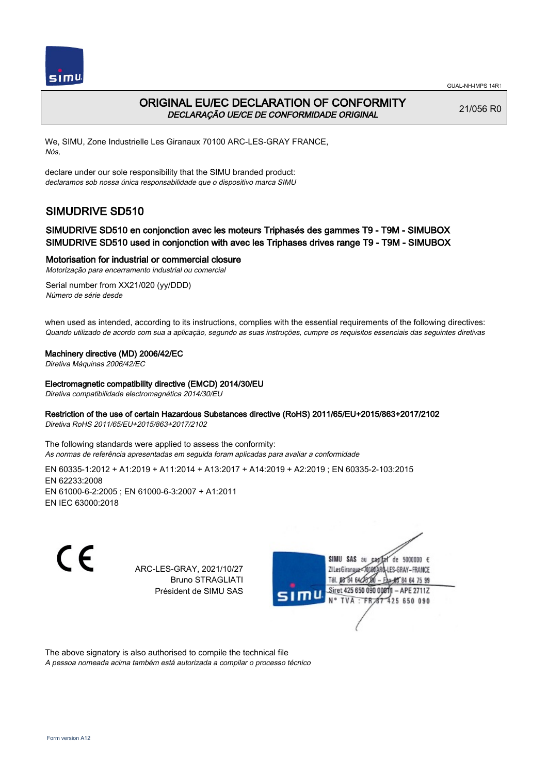

## ORIGINAL EU/EC DECLARATION OF CONFORMITY DECLARAÇÃO UE/CE DE CONFORMIDADE ORIGINAL

21/056 R0

We, SIMU, Zone Industrielle Les Giranaux 70100 ARC-LES-GRAY FRANCE, Nós,

declare under our sole responsibility that the SIMU branded product: declaramos sob nossa única responsabilidade que o dispositivo marca SIMU

# SIMUDRIVE SD510

### SIMUDRIVE SD510 en conjonction avec les moteurs Triphasés des gammes T9 - T9M - SIMUBOX SIMUDRIVE SD510 used in conjonction with avec les Triphases drives range T9 - T9M - SIMUBOX

Motorisation for industrial or commercial closure

Motorização para encerramento industrial ou comercial Serial number from XX21/020 (yy/DDD)

Número de série desde

when used as intended, according to its instructions, complies with the essential requirements of the following directives: Quando utilizado de acordo com sua a aplicação, segundo as suas instruções, cumpre os requisitos essenciais das seguintes diretivas

#### Machinery directive (MD) 2006/42/EC

Diretiva Máquinas 2006/42/EC

#### Electromagnetic compatibility directive (EMCD) 2014/30/EU

Diretiva compatibilidade electromagnética 2014/30/EU

#### Restriction of the use of certain Hazardous Substances directive (RoHS) 2011/65/EU+2015/863+2017/2102

Diretiva RoHS 2011/65/EU+2015/863+2017/2102

The following standards were applied to assess the conformity: As normas de referência apresentadas em seguida foram aplicadas para avaliar a conformidade

EN 60335‑1:2012 + A1:2019 + A11:2014 + A13:2017 + A14:2019 + A2:2019 ; EN 60335‑2‑103:2015 EN 62233:2008 EN 61000‑6‑2:2005 ; EN 61000‑6‑3:2007 + A1:2011 EN IEC 63000:2018

C F

ARC-LES-GRAY, 2021/10/27 Bruno STRAGLIATI Président de SIMU SAS



The above signatory is also authorised to compile the technical file

A pessoa nomeada acima também está autorizada a compilar o processo técnico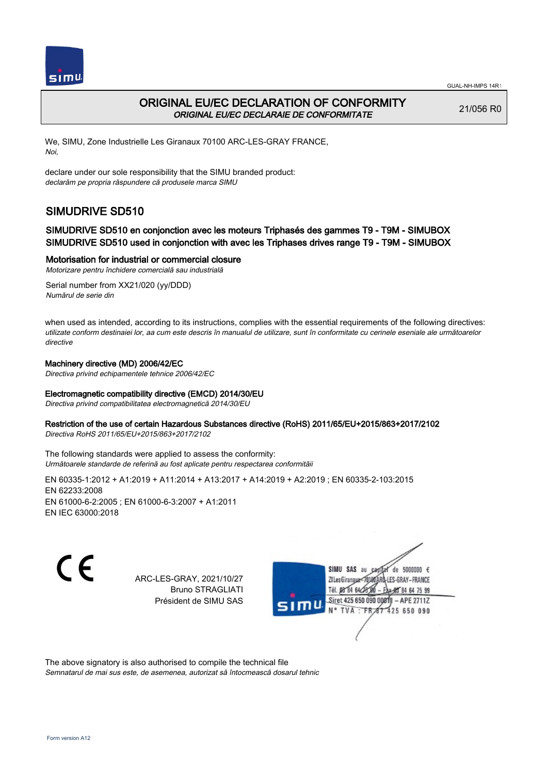



## ORIGINAL EU/EC DECLARATION OF CONFORMITY ORIGINAL EU/EC DECLARAIE DE CONFORMITATE

21/056 R0

We, SIMU, Zone Industrielle Les Giranaux 70100 ARC-LES-GRAY FRANCE, Noi,

declare under our sole responsibility that the SIMU branded product: declarăm pe propria răspundere că produsele marca SIMU

# SIMUDRIVE SD510

### SIMUDRIVE SD510 en conjonction avec les moteurs Triphasés des gammes T9 - T9M - SIMUBOX SIMUDRIVE SD510 used in conjonction with avec les Triphases drives range T9 - T9M - SIMUBOX

Motorisation for industrial or commercial closure

Motorizare pentru închidere comercială sau industrială Serial number from XX21/020 (yy/DDD)

Numărul de serie din

when used as intended, according to its instructions, complies with the essential requirements of the following directives: utilizate conform destinaiei lor, aa cum este descris în manualul de utilizare, sunt în conformitate cu cerinele eseniale ale următoarelor directive

#### Machinery directive (MD) 2006/42/EC

Directiva privind echipamentele tehnice 2006/42/EC

#### Electromagnetic compatibility directive (EMCD) 2014/30/EU

Directiva privind compatibilitatea electromagnetică 2014/30/EU

#### Restriction of the use of certain Hazardous Substances directive (RoHS) 2011/65/EU+2015/863+2017/2102

Directiva RoHS 2011/65/EU+2015/863+2017/2102

The following standards were applied to assess the conformity: Următoarele standarde de referină au fost aplicate pentru respectarea conformităii

EN 60335‑1:2012 + A1:2019 + A11:2014 + A13:2017 + A14:2019 + A2:2019 ; EN 60335‑2‑103:2015 EN 62233:2008 EN 61000‑6‑2:2005 ; EN 61000‑6‑3:2007 + A1:2011 EN IEC 63000:2018

C F

ARC-LES-GRAY, 2021/10/27 Bruno STRAGLIATI Président de SIMU SAS



The above signatory is also authorised to compile the technical file Semnatarul de mai sus este, de asemenea, autorizat să întocmească dosarul tehnic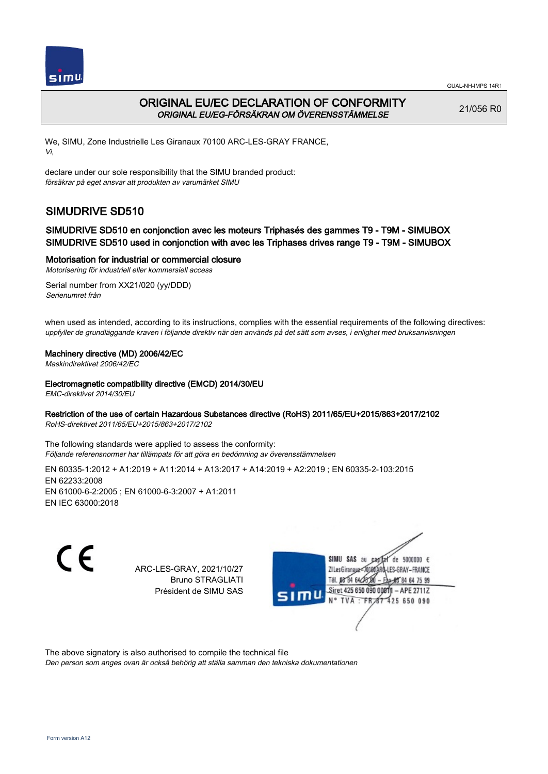

## ORIGINAL EU/EC DECLARATION OF CONFORMITY ORIGINAL EU/EG-FÖRSÄKRAN OM ÖVERENSSTÄMMELSE

21/056 R0

We, SIMU, Zone Industrielle Les Giranaux 70100 ARC-LES-GRAY FRANCE, Vi,

declare under our sole responsibility that the SIMU branded product: försäkrar på eget ansvar att produkten av varumärket SIMU

# SIMUDRIVE SD510

### SIMUDRIVE SD510 en conjonction avec les moteurs Triphasés des gammes T9 - T9M - SIMUBOX SIMUDRIVE SD510 used in conjonction with avec les Triphases drives range T9 - T9M - SIMUBOX

#### Motorisation for industrial or commercial closure

Motorisering för industriell eller kommersiell access

Serial number from XX21/020 (yy/DDD) Serienumret från

when used as intended, according to its instructions, complies with the essential requirements of the following directives: uppfyller de grundläggande kraven i följande direktiv när den används på det sätt som avses, i enlighet med bruksanvisningen

#### Machinery directive (MD) 2006/42/EC

Maskindirektivet 2006/42/EC

#### Electromagnetic compatibility directive (EMCD) 2014/30/EU

EMC-direktivet 2014/30/EU

#### Restriction of the use of certain Hazardous Substances directive (RoHS) 2011/65/EU+2015/863+2017/2102

RoHS-direktivet 2011/65/EU+2015/863+2017/2102

The following standards were applied to assess the conformity: Följande referensnormer har tillämpats för att göra en bedömning av överensstämmelsen

EN 60335‑1:2012 + A1:2019 + A11:2014 + A13:2017 + A14:2019 + A2:2019 ; EN 60335‑2‑103:2015 EN 62233:2008 EN 61000‑6‑2:2005 ; EN 61000‑6‑3:2007 + A1:2011 EN IEC 63000:2018

C E

ARC-LES-GRAY, 2021/10/27 Bruno STRAGLIATI Président de SIMU SAS



The above signatory is also authorised to compile the technical file

Den person som anges ovan är också behörig att ställa samman den tekniska dokumentationen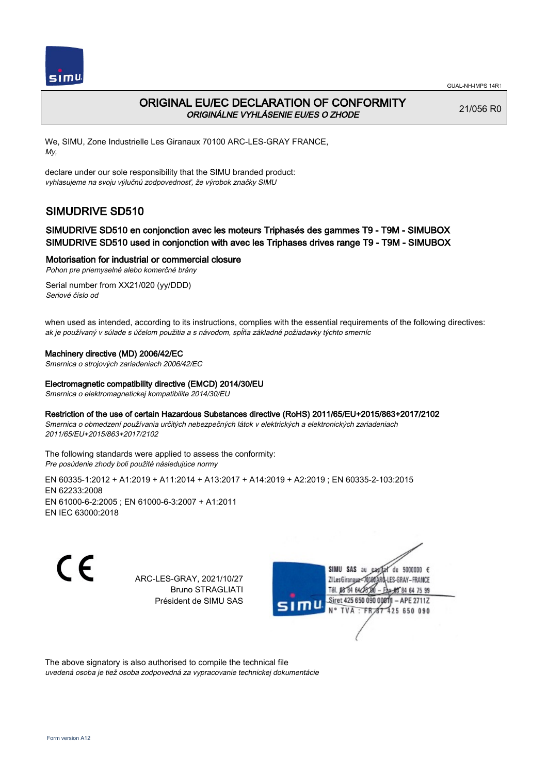

## ORIGINAL EU/EC DECLARATION OF CONFORMITY ORIGINÁLNE VYHLÁSENIE EU/ES O ZHODE

21/056 R0

We, SIMU, Zone Industrielle Les Giranaux 70100 ARC-LES-GRAY FRANCE, My,

declare under our sole responsibility that the SIMU branded product: vyhlasujeme na svoju výlučnú zodpovednosť, že výrobok značky SIMU

# SIMUDRIVE SD510

### SIMUDRIVE SD510 en conjonction avec les moteurs Triphasés des gammes T9 - T9M - SIMUBOX SIMUDRIVE SD510 used in conjonction with avec les Triphases drives range T9 - T9M - SIMUBOX

#### Motorisation for industrial or commercial closure

Pohon pre priemyselné alebo komerčné brány

Serial number from XX21/020 (yy/DDD) Seriové číslo od

when used as intended, according to its instructions, complies with the essential requirements of the following directives: ak je používaný v súlade s účelom použitia a s návodom, spĺňa základné požiadavky týchto smerníc

#### Machinery directive (MD) 2006/42/EC

Smernica o strojových zariadeniach 2006/42/EC

#### Electromagnetic compatibility directive (EMCD) 2014/30/EU

Smernica o elektromagnetickej kompatibilite 2014/30/EU

Restriction of the use of certain Hazardous Substances directive (RoHS) 2011/65/EU+2015/863+2017/2102 Smernica o obmedzení používania určitých nebezpečných látok v elektrických a elektronických zariadeniach

2011/65/EU+2015/863+2017/2102

The following standards were applied to assess the conformity: Pre posúdenie zhody boli použité následujúce normy

EN 60335‑1:2012 + A1:2019 + A11:2014 + A13:2017 + A14:2019 + A2:2019 ; EN 60335‑2‑103:2015 EN 62233:2008 EN 61000‑6‑2:2005 ; EN 61000‑6‑3:2007 + A1:2011 EN IEC 63000:2018

 $\epsilon$ 

ARC-LES-GRAY, 2021/10/27 Bruno STRAGLIATI Président de SIMU SAS



The above signatory is also authorised to compile the technical file uvedená osoba je tiež osoba zodpovedná za vypracovanie technickej dokumentácie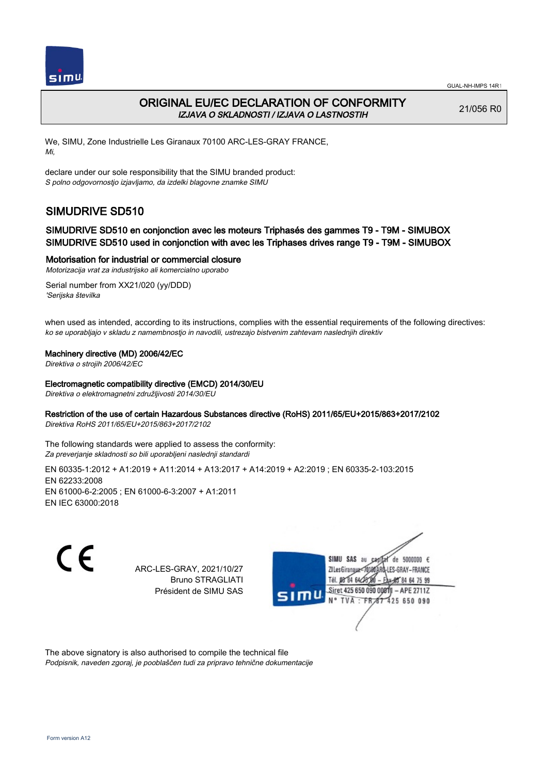

## ORIGINAL EU/EC DECLARATION OF CONFORMITY IZJAVA O SKLADNOSTI / IZJAVA O LASTNOSTIH

21/056 R0

We, SIMU, Zone Industrielle Les Giranaux 70100 ARC-LES-GRAY FRANCE, Mi,

declare under our sole responsibility that the SIMU branded product: S polno odgovornostjo izjavljamo, da izdelki blagovne znamke SIMU

# SIMUDRIVE SD510

### SIMUDRIVE SD510 en conjonction avec les moteurs Triphasés des gammes T9 - T9M - SIMUBOX SIMUDRIVE SD510 used in conjonction with avec les Triphases drives range T9 - T9M - SIMUBOX

Motorisation for industrial or commercial closure

Motorizacija vrat za industrijsko ali komercialno uporabo

Serial number from XX21/020 (yy/DDD) 'Serijska številka

when used as intended, according to its instructions, complies with the essential requirements of the following directives: ko se uporabljajo v skladu z namembnostjo in navodili, ustrezajo bistvenim zahtevam naslednjih direktiv

#### Machinery directive (MD) 2006/42/EC

Direktiva o strojih 2006/42/EC

#### Electromagnetic compatibility directive (EMCD) 2014/30/EU

Direktiva o elektromagnetni združljivosti 2014/30/EU

#### Restriction of the use of certain Hazardous Substances directive (RoHS) 2011/65/EU+2015/863+2017/2102

Direktiva RoHS 2011/65/EU+2015/863+2017/2102

The following standards were applied to assess the conformity: Za preverjanje skladnosti so bili uporabljeni naslednji standardi

EN 60335‑1:2012 + A1:2019 + A11:2014 + A13:2017 + A14:2019 + A2:2019 ; EN 60335‑2‑103:2015 EN 62233:2008 EN 61000‑6‑2:2005 ; EN 61000‑6‑3:2007 + A1:2011 EN IEC 63000:2018

C E

ARC-LES-GRAY, 2021/10/27 Bruno STRAGLIATI Président de SIMU SAS



The above signatory is also authorised to compile the technical file Podpisnik, naveden zgoraj, je pooblaščen tudi za pripravo tehnične dokumentacije